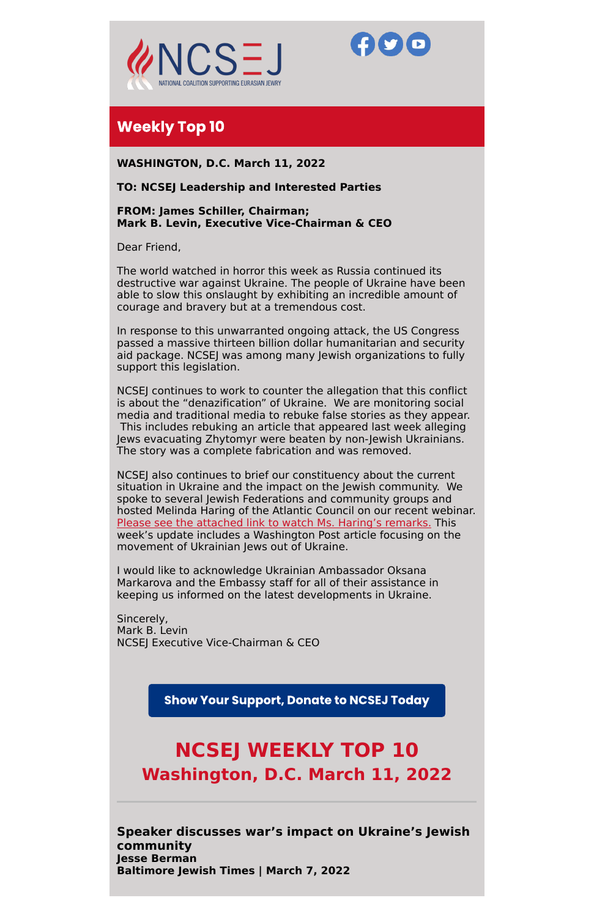



# **Weekly Top 10**

**WASHINGTON, D.C. March 11, 2022**

# **TO: NCSEJ Leadership and Interested Parties**

**FROM: James Schiller, Chairman; Mark B. Levin, Executive Vice-Chairman & CEO**

Dear Friend,

The world watched in horror this week as Russia continued its destructive war against Ukraine. The people of Ukraine have been able to slow this onslaught by exhibiting an incredible amount of courage and bravery but at a tremendous cost.

In response to this unwarranted ongoing attack, the US Congress passed a massive thirteen billion dollar humanitarian and security aid package. NCSEJ was among many Jewish organizations to fully support this legislation.

NCSEJ continues to work to counter the allegation that this conflict is about the "denazification" of Ukraine. We are monitoring social media and traditional media to rebuke false stories as they appear. This includes rebuking an article that appeared last week alleging Jews evacuating Zhytomyr were beaten by non-Jewish Ukrainians. The story was a complete fabrication and was removed.

NCSEJ also continues to brief our constituency about the current situation in Ukraine and the impact on the Jewish community. We spoke to several Jewish Federations and community groups and hosted Melinda Haring of the Atlantic Council on our recent webinar. Please see the [attached](https://us02web.zoom.us/rec/play/efn-wNW9gr_u8JPuBEMJMSCKfOaKKAvzII_5w8V8gbo8fXEfZPkO4yMtFC0uKnrBckdlmf7YAUQyTafg.81KBufdall8nFJn5?continueMode=true) link to watch Ms. Haring's remarks. This week's update includes a Washington Post article focusing on the movement of Ukrainian Jews out of Ukraine.

I would like to acknowledge Ukrainian Ambassador Oksana Markarova and the Embassy staff for all of their assistance in keeping us informed on the latest developments in Ukraine.

Sincerely, Mark B. Levin NCSEJ Executive Vice-Chairman & CEO

**Show Your Support, Donate to NCSEJ Today** 

# **NCSEJ WEEKLY TOP 10 Washington, D.C. March 11, 2022**

**Speaker discusses war's impact on Ukraine's Jewish community Jesse Berman Baltimore Jewish Times | March 7, 2022**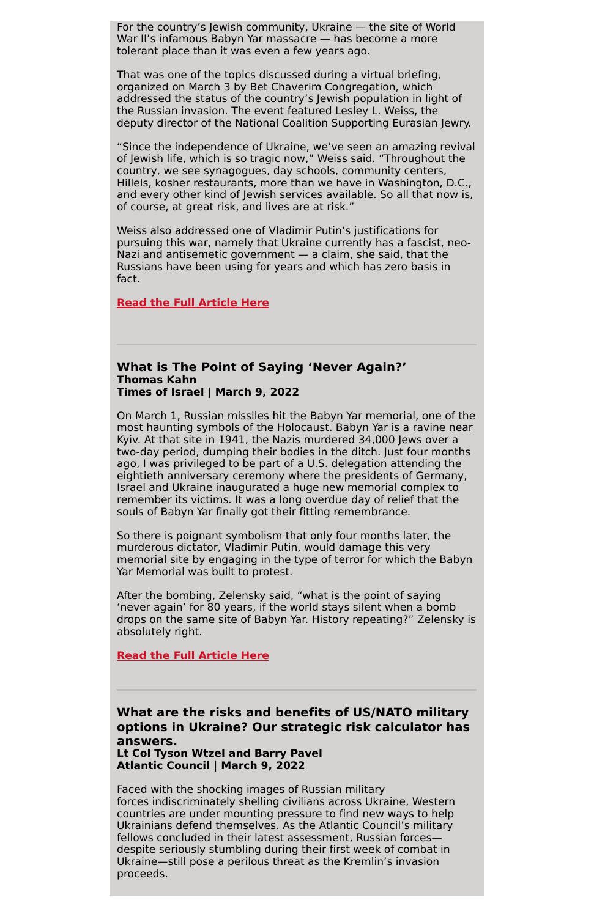For the country's Jewish community, Ukraine — the site of World War II's infamous Babyn Yar massacre — has become a more tolerant place than it was even a few years ago.

That was one of the topics discussed during a virtual briefing, organized on March 3 by Bet Chaverim Congregation, which addressed the status of the country's Jewish population in light of the Russian invasion. The event featured Lesley L. Weiss, the deputy director of the National Coalition Supporting Eurasian Jewry.

"Since the independence of Ukraine, we've seen an amazing revival of Jewish life, which is so tragic now," Weiss said. "Throughout the country, we see synagogues, day schools, community centers, Hillels, kosher restaurants, more than we have in Washington, D.C., and every other kind of Jewish services available. So all that now is, of course, at great risk, and lives are at risk."

Weiss also addressed one of Vladimir Putin's justifications for pursuing this war, namely that Ukraine currently has a fascist, neo-Nazi and antisemetic government — a claim, she said, that the Russians have been using for years and which has zero basis in fact.

#### **Read the Full [Article](https://www.jewishtimes.com/speaker-discusses-wars-impact-on-ukraines-jewish-community//) Here**

#### **What is The Point of Saying 'Never Again?' Thomas Kahn Times of Israel | March 9, 2022**

On March 1, Russian missiles hit the Babyn Yar memorial, one of the most haunting symbols of the Holocaust. Babyn Yar is a ravine near Kyiv. At that site in 1941, the Nazis murdered 34,000 Jews over a two-day period, dumping their bodies in the ditch. Just four months ago, I was privileged to be part of a U.S. delegation attending the eightieth anniversary ceremony where the presidents of Germany, Israel and Ukraine inaugurated a huge new memorial complex to remember its victims. It was a long overdue day of relief that the souls of Babyn Yar finally got their fitting remembrance.

So there is poignant symbolism that only four months later, the murderous dictator, Vladimir Putin, would damage this very memorial site by engaging in the type of terror for which the Babyn Yar Memorial was built to protest.

After the bombing, Zelensky said, "what is the point of saying 'never again' for 80 years, if the world stays silent when a bomb drops on the same site of Babyn Yar. History repeating?" Zelensky is absolutely right.

#### **Read the Full [Article](https://blogs.timesofisrael.com/what-is-the-point-of-saying-never-again/) Here**

**What are the risks and benefits of US/NATO military options in Ukraine? Our strategic risk calculator has answers. Lt Col Tyson Wtzel and Barry Pavel Atlantic Council | March 9, 2022**

Faced with the shocking images of Russian military forces indiscriminately shelling civilians across Ukraine, Western countries are under mounting pressure to find new ways to help Ukrainians defend themselves. As the Atlantic Council's military fellows concluded in their latest assessment, Russian forces despite seriously stumbling during their first week of combat in Ukraine—still pose a perilous threat as the Kremlin's invasion proceeds.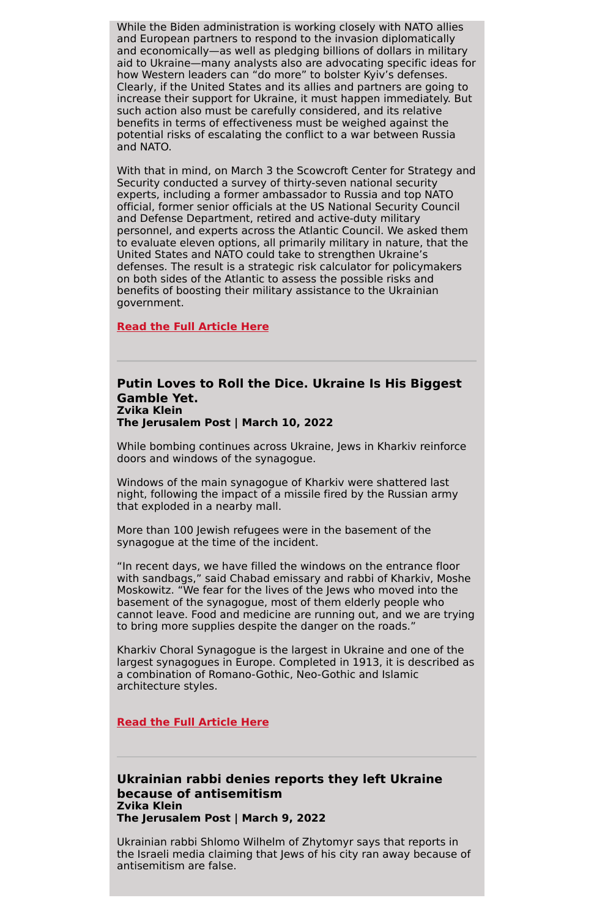While the Biden administration is working closely with NATO allies and European partners to respond to the invasion diplomatically and economically—as well as pledging billions of dollars in military aid to Ukraine—many analysts also are advocating specific ideas for how Western leaders can "do more" to bolster Kyiv's defenses. Clearly, if the United States and its allies and partners are going to increase their support for Ukraine, it must happen immediately. But such action also must be carefully considered, and its relative benefits in terms of effectiveness must be weighed against the potential risks of escalating the conflict to a war between Russia and NATO.

With that in mind, on March 3 the Scowcroft Center for Strategy and Security conducted a survey of thirty-seven national security experts, including a former ambassador to Russia and top NATO official, former senior officials at the US National Security Council and Defense Department, retired and active-duty military personnel, and experts across the Atlantic Council. We asked them to evaluate eleven options, all primarily military in nature, that the United States and NATO could take to strengthen Ukraine's defenses. The result is a strategic risk calculator for policymakers on both sides of the Atlantic to assess the possible risks and benefits of boosting their military assistance to the Ukrainian government.

**Read the Full [Article](https://www.atlanticcouncil.org/wp-content/uploads/2022/03/Risks_and_Benefits_Ukraine.pdf) Here**

### **Putin Loves to Roll the Dice. Ukraine Is His Biggest Gamble Yet. Zvika Klein The Jerusalem Post | March 10, 2022**

While bombing continues across Ukraine, Jews in Kharkiv reinforce doors and windows of the synagogue.

Windows of the main synagogue of Kharkiv were shattered last night, following the impact of a missile fired by the Russian army that exploded in a nearby mall.

More than 100 Jewish refugees were in the basement of the synagogue at the time of the incident.

"In recent days, we have filled the windows on the entrance floor with sandbags," said Chabad emissary and rabbi of Kharkiv, Moshe Moskowitz. "We fear for the lives of the Jews who moved into the basement of the synagogue, most of them elderly people who cannot leave. Food and medicine are running out, and we are trying to bring more supplies despite the danger on the roads."

Kharkiv Choral Synagogue is the largest in Ukraine and one of the largest synagogues in Europe. Completed in 1913, it is described as a combination of Romano-Gothic, Neo-Gothic and Islamic architecture styles.

**Read the Full [Article](https://m.jpost.com/diaspora/article-700868/amp1) Here**

# **Ukrainian rabbi denies reports they left Ukraine because of antisemitism Zvika Klein The Jerusalem Post | March 9, 2022**

Ukrainian rabbi Shlomo Wilhelm of Zhytomyr says that reports in the Israeli media claiming that Jews of his city ran away because of antisemitism are false.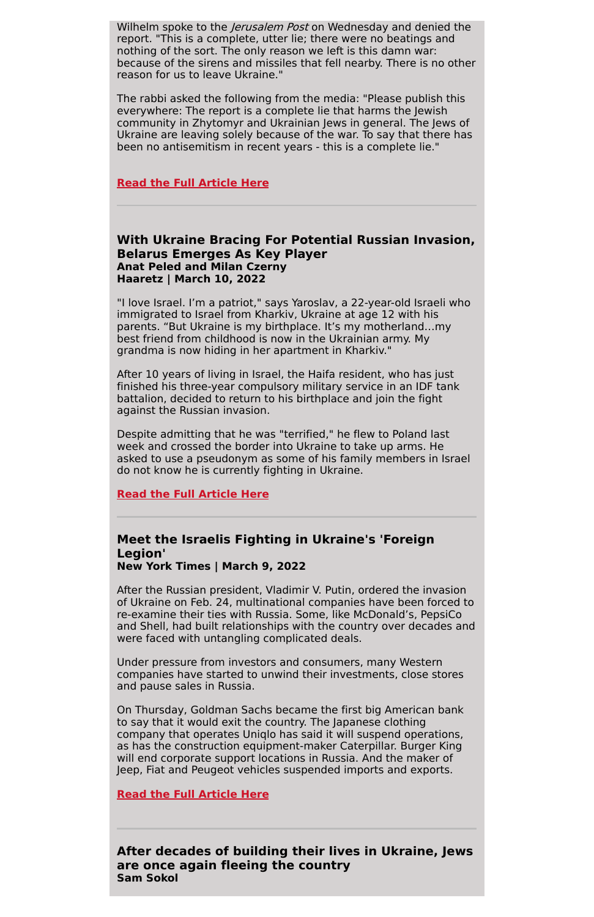Wilhelm spoke to the *Jerusalem Post* on Wednesday and denied the report. "This is a complete, utter lie; there were no beatings and nothing of the sort. The only reason we left is this damn war: because of the sirens and missiles that fell nearby. There is no other reason for us to leave Ukraine."

The rabbi asked the following from the media: "Please publish this everywhere: The report is a complete lie that harms the Jewish community in Zhytomyr and Ukrainian Jews in general. The Jews of Ukraine are leaving solely because of the war. To say that there has been no antisemitism in recent years - this is a complete lie."

### **Read the Full [Article](https://www.jpost.com/diaspora/article-700748) Here**

# **With Ukraine Bracing For Potential Russian Invasion, Belarus Emerges As Key Player Anat Peled and Milan Czerny Haaretz | March 10, 2022**

"I love Israel. I'm a patriot," says Yaroslav, a 22-year-old Israeli who immigrated to Israel from Kharkiv, Ukraine at age 12 with his parents. "But Ukraine is my birthplace. It's my motherland…my best friend from childhood is now in the Ukrainian army. My grandma is now hiding in her apartment in Kharkiv."

After 10 years of living in Israel, the Haifa resident, who has just finished his three-year compulsory military service in an IDF tank battalion, decided to return to his birthplace and join the fight against the Russian invasion.

Despite admitting that he was "terrified," he flew to Poland last week and crossed the border into Ukraine to take up arms. He asked to use a pseudonym as some of his family members in Israel do not know he is currently fighting in Ukraine.

#### **Read the Full [Article](https://www.haaretz.com/israel-news/.premium.HIGHLIGHT-putin-must-be-stopped-meet-the-israelis-fighting-in-ukraine-s-foreign-legion-1.10662939?utm_source=mailchimp&utm_medium=content&utm_campaign=daily-brief&utm_content=2537bc9da9) Here**

# **Meet the Israelis Fighting in Ukraine's 'Foreign Legion'**

**New York Times | March 9, 2022**

After the Russian president, Vladimir V. Putin, ordered the invasion of Ukraine on Feb. 24, multinational companies have been forced to re-examine their ties with Russia. Some, like McDonald's, PepsiCo and Shell, had built relationships with the country over decades and were faced with untangling complicated deals.

Under pressure from investors and consumers, many Western companies have started to unwind their investments, close stores and pause sales in Russia.

On Thursday, Goldman Sachs became the first big American bank to say that it would exit the country. The Japanese clothing company that operates Uniqlo has said it will suspend operations, as has the construction equipment-maker Caterpillar. Burger King will end corporate support locations in Russia. And the maker of Jeep, Fiat and Peugeot vehicles suspended imports and exports.

**Read the Full [Article](https://www.nytimes.com/article/russia-invasion-companies.html) Here**

**After decades of building their lives in Ukraine, Jews are once again fleeing the country Sam Sokol**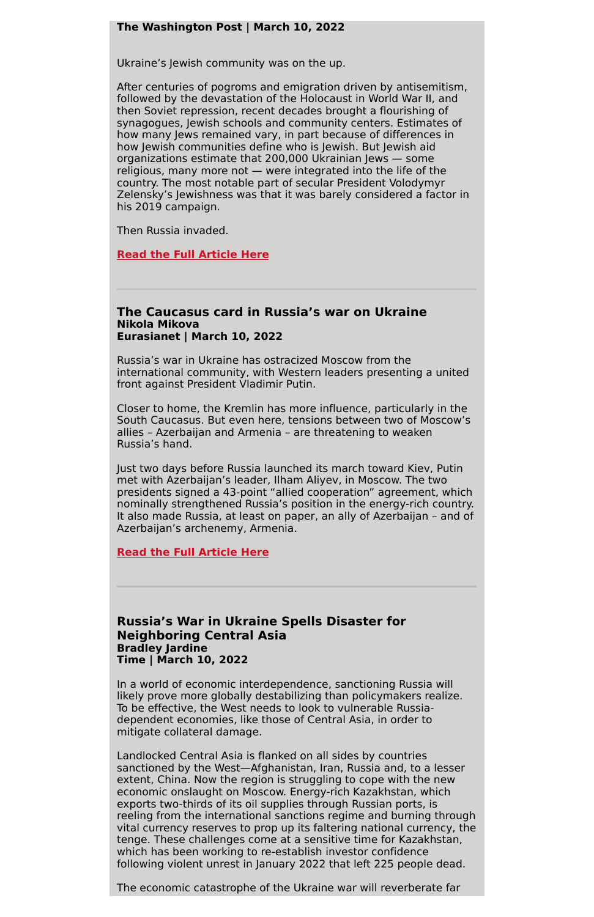#### **The Washington Post | March 10, 2022**

Ukraine's Jewish community was on the up.

After centuries of pogroms and emigration driven by antisemitism, followed by the devastation of the Holocaust in World War II, and then Soviet repression, recent decades brought a flourishing of synagogues, Jewish schools and community centers. Estimates of how many Jews remained vary, in part because of differences in how Jewish communities define who is Jewish. But Jewish aid organizations estimate that 200,000 Ukrainian Jews — some religious, many more not — were integrated into the life of the country. The most notable part of secular President Volodymyr Zelensky's Jewishness was that it was barely considered a factor in his 2019 campaign.

Then Russia invaded.

**Read the Full [Article](https://www.washingtonpost.com/world/2022/03/10/jews-ukraine-leaving-israel-russia-invasion/) Here**

#### **The Caucasus card in Russia's war on Ukraine Nikola Mikova Eurasianet | March 10, 2022**

Russia's war in Ukraine has ostracized Moscow from the international community, with Western leaders presenting a united front against President Vladimir Putin.

Closer to home, the Kremlin has more influence, particularly in the South Caucasus. But even here, tensions between two of Moscow's allies – Azerbaijan and Armenia – are threatening to weaken Russia's hand.

Just two days before Russia launched its march toward Kiev, Putin met with Azerbaijan's leader, Ilham Aliyev, in Moscow. The two presidents signed a 43-point "allied cooperation" agreement, which nominally strengthened Russia's position in the energy-rich country. It also made Russia, at least on paper, an ally of Azerbaijan – and of Azerbaijan's archenemy, Armenia.

**Read the Full [Article](https://asiatimes.com/2022/03/the-caucasus-card-in-russias-war-on-ukraine/) Here**

**Russia's War in Ukraine Spells Disaster for Neighboring Central Asia Bradley Jardine Time | March 10, 2022**

In a world of economic interdependence, sanctioning Russia will likely prove more globally destabilizing than policymakers realize. To be effective, the West needs to look to vulnerable Russiadependent economies, like those of Central Asia, in order to mitigate collateral damage.

Landlocked Central Asia is flanked on all sides by countries sanctioned by the West—Afghanistan, Iran, Russia and, to a lesser extent, China. Now the region is struggling to cope with the new economic onslaught on Moscow. Energy-rich Kazakhstan, which exports two-thirds of its oil supplies through Russian ports, is reeling from the international sanctions regime and burning through vital currency reserves to prop up its faltering national currency, the tenge. These challenges come at a sensitive time for Kazakhstan, which has been working to re-establish investor confidence following violent unrest in January 2022 that left 225 people dead.

The economic catastrophe of the Ukraine war will reverberate far